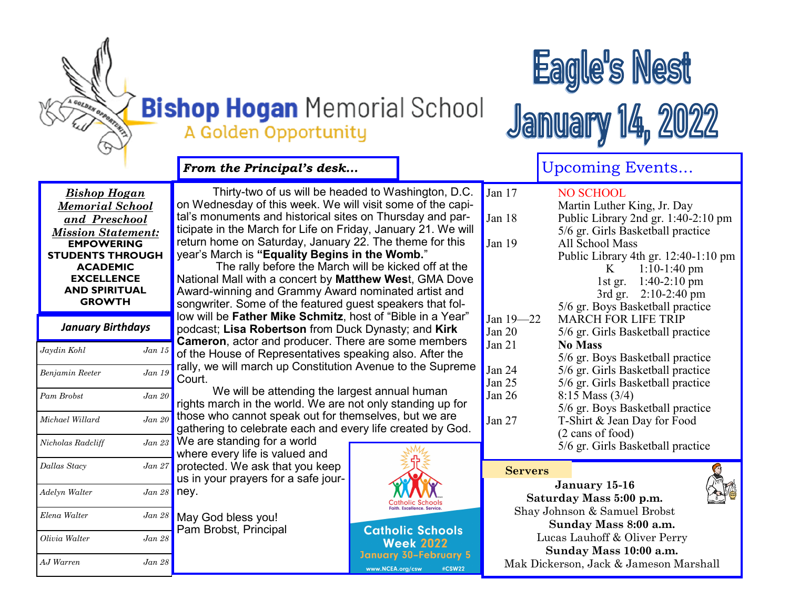

# **Bishop Hogan Memorial School** A Golden Opportunity



**January 14, 2022** 

|                                                                                                                                                                                                                              |            | From the Principal's desk                                                                                                                                                                                                                                                                                                                                                                                                                                                                                                                                                                                                                                                                                                                                                             |                  |                                             |                                          | <b>Upcoming Events</b>                                                                                                                                                                                                                                                                                   |                                                                 |  |
|------------------------------------------------------------------------------------------------------------------------------------------------------------------------------------------------------------------------------|------------|---------------------------------------------------------------------------------------------------------------------------------------------------------------------------------------------------------------------------------------------------------------------------------------------------------------------------------------------------------------------------------------------------------------------------------------------------------------------------------------------------------------------------------------------------------------------------------------------------------------------------------------------------------------------------------------------------------------------------------------------------------------------------------------|------------------|---------------------------------------------|------------------------------------------|----------------------------------------------------------------------------------------------------------------------------------------------------------------------------------------------------------------------------------------------------------------------------------------------------------|-----------------------------------------------------------------|--|
| <b>Bishop Hogan</b><br><b>Memorial School</b><br>and Preschool<br><b>Mission Statement:</b><br><b>EMPOWERING</b><br><b>STUDENTS THROUGH</b><br><b>ACADEMIC</b><br><b>EXCELLENCE</b><br><b>AND SPIRITUAL</b><br><b>GROWTH</b> |            | Thirty-two of us will be headed to Washington, D.C.<br>on Wednesday of this week. We will visit some of the capi-<br>tal's monuments and historical sites on Thursday and par-<br>ticipate in the March for Life on Friday, January 21. We will<br>return home on Saturday, January 22. The theme for this<br>year's March is "Equality Begins in the Womb."<br>The rally before the March will be kicked off at the<br>National Mall with a concert by Matthew West, GMA Dove<br>Award-winning and Grammy Award nominated artist and<br>songwriter. Some of the featured guest speakers that fol-<br>low will be Father Mike Schmitz, host of "Bible in a Year"<br>podcast; Lisa Robertson from Duck Dynasty; and Kirk<br><b>Cameron, actor and producer. There are some members</b> |                  |                                             | Jan $17$<br>Jan 18<br>Jan 19             | <b>NO SCHOOL</b><br>Martin Luther King, Jr. Day<br>Public Library 2nd gr. 1:40-2:10 pm<br>5/6 gr. Girls Basketball practice<br>All School Mass<br>Public Library 4th gr. 12:40-1:10 pm<br>$1:10-1:40$ pm<br>K<br>$1:40-2:10$ pm<br>$1st$ gr.<br>3rd gr. 2:10-2:40 pm<br>5/6 gr. Boys Basketball practice |                                                                 |  |
| <b>January Birthdays</b>                                                                                                                                                                                                     |            |                                                                                                                                                                                                                                                                                                                                                                                                                                                                                                                                                                                                                                                                                                                                                                                       |                  |                                             | Jan 19-22<br>Jan $20$                    |                                                                                                                                                                                                                                                                                                          | <b>MARCH FOR LIFE TRIP</b><br>5/6 gr. Girls Basketball practice |  |
| Jaydin Kohl                                                                                                                                                                                                                  | Jan 15     | of the House of Representatives speaking also. After the                                                                                                                                                                                                                                                                                                                                                                                                                                                                                                                                                                                                                                                                                                                              |                  |                                             | Jan $21$                                 | <b>No Mass</b>                                                                                                                                                                                                                                                                                           | 5/6 gr. Boys Basketball practice                                |  |
| Benjamin Reeter                                                                                                                                                                                                              | Jan 19     | rally, we will march up Constitution Avenue to the Supreme<br>Court.                                                                                                                                                                                                                                                                                                                                                                                                                                                                                                                                                                                                                                                                                                                  |                  |                                             | Jan 24<br>Jan 25                         |                                                                                                                                                                                                                                                                                                          | 5/6 gr. Girls Basketball practice                               |  |
| Pam Brobst                                                                                                                                                                                                                   | $Jan$ $20$ | We will be attending the largest annual human<br>rights march in the world. We are not only standing up for                                                                                                                                                                                                                                                                                                                                                                                                                                                                                                                                                                                                                                                                           |                  |                                             | Jan $26$                                 | 5/6 gr. Girls Basketball practice<br>$8:15$ Mass $(3/4)$<br>5/6 gr. Boys Basketball practice                                                                                                                                                                                                             |                                                                 |  |
| Michael Willard                                                                                                                                                                                                              | Jan 20     | those who cannot speak out for themselves, but we are<br>gathering to celebrate each and every life created by God.                                                                                                                                                                                                                                                                                                                                                                                                                                                                                                                                                                                                                                                                   |                  |                                             | Jan $27$                                 |                                                                                                                                                                                                                                                                                                          | T-Shirt & Jean Day for Food                                     |  |
| Nicholas Radcliff                                                                                                                                                                                                            | Jan 23     | We are standing for a world<br>where every life is valued and                                                                                                                                                                                                                                                                                                                                                                                                                                                                                                                                                                                                                                                                                                                         |                  |                                             |                                          | (2 cans of food)                                                                                                                                                                                                                                                                                         | 5/6 gr. Girls Basketball practice                               |  |
| Dallas Stacy                                                                                                                                                                                                                 | Jan 27     | protected. We ask that you keep<br>us in your prayers for a safe jour-                                                                                                                                                                                                                                                                                                                                                                                                                                                                                                                                                                                                                                                                                                                |                  |                                             | <b>Servers</b>                           |                                                                                                                                                                                                                                                                                                          |                                                                 |  |
| Adelyn Walter                                                                                                                                                                                                                | Jan 28     | ney.                                                                                                                                                                                                                                                                                                                                                                                                                                                                                                                                                                                                                                                                                                                                                                                  |                  |                                             | January 15-16<br>Saturday Mass 5:00 p.m. |                                                                                                                                                                                                                                                                                                          |                                                                 |  |
| Elena Walter                                                                                                                                                                                                                 | Jan 28     | May God bless you!                                                                                                                                                                                                                                                                                                                                                                                                                                                                                                                                                                                                                                                                                                                                                                    |                  |                                             |                                          | Shay Johnson & Samuel Brobst<br>Sunday Mass 8:00 a.m.                                                                                                                                                                                                                                                    |                                                                 |  |
| Olivia Walter                                                                                                                                                                                                                | Jan 28     | Pam Brobst, Principal                                                                                                                                                                                                                                                                                                                                                                                                                                                                                                                                                                                                                                                                                                                                                                 |                  | <b>Catholic Schools</b><br><b>Week 2022</b> |                                          | Lucas Lauhoff & Oliver Perry<br>Sunday Mass 10:00 a.m.                                                                                                                                                                                                                                                   |                                                                 |  |
| AJ Warren                                                                                                                                                                                                                    | Jan 28     |                                                                                                                                                                                                                                                                                                                                                                                                                                                                                                                                                                                                                                                                                                                                                                                       | www.NCEA.org/csw | January 30-February 5<br>#CSW22             |                                          |                                                                                                                                                                                                                                                                                                          | Mak Dickerson, Jack & Jameson Marshall                          |  |